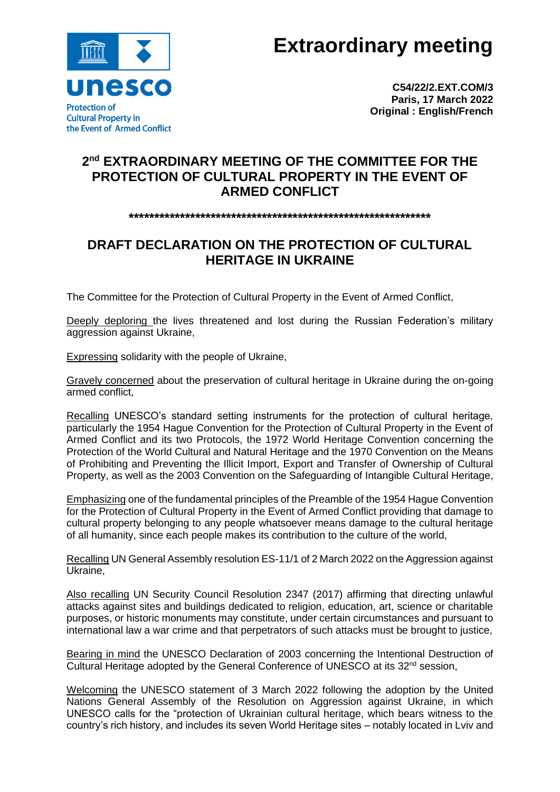

**Extraordinary meeting**

**C54/22/2.EXT.COM/3 Paris, 17 March 2022 Original : English/French**

## **2 nd EXTRAORDINARY MEETING OF THE COMMITTEE FOR THE PROTECTION OF CULTURAL PROPERTY IN THE EVENT OF ARMED CONFLICT**

## **\*\*\*\*\*\*\*\*\*\*\*\*\*\*\*\*\*\*\*\*\*\*\*\*\*\*\*\*\*\*\*\*\*\*\*\*\*\*\*\*\*\*\*\*\*\*\*\*\*\*\*\*\*\*\*\*\*\*\***

## **DRAFT DECLARATION ON THE PROTECTION OF CULTURAL HERITAGE IN UKRAINE**

The Committee for the Protection of Cultural Property in the Event of Armed Conflict,

Deeply deploring the lives threatened and lost during the Russian Federation's military aggression against Ukraine,

Expressing solidarity with the people of Ukraine,

Gravely concerned about the preservation of cultural heritage in Ukraine during the on-going armed conflict,

Recalling UNESCO's standard setting instruments for the protection of cultural heritage, particularly the 1954 Hague Convention for the Protection of Cultural Property in the Event of Armed Conflict and its two Protocols, the 1972 World Heritage Convention concerning the Protection of the World Cultural and Natural Heritage and the 1970 Convention on the Means of Prohibiting and Preventing the Illicit Import, Export and Transfer of Ownership of Cultural Property, as well as the 2003 Convention on the Safeguarding of Intangible Cultural Heritage,

Emphasizing one of the fundamental principles of the Preamble of the 1954 Hague Convention for the Protection of Cultural Property in the Event of Armed Conflict providing that damage to cultural property belonging to any people whatsoever means damage to the cultural heritage of all humanity, since each people makes its contribution to the culture of the world,

Recalling UN General Assembly resolution ES-11/1 of 2 March 2022 on the Aggression against Ukraine,

Also recalling UN Security Council Resolution 2347 (2017) affirming that directing unlawful attacks against sites and buildings dedicated to religion, education, art, science or charitable purposes, or historic monuments may constitute, under certain circumstances and pursuant to international law a war crime and that perpetrators of such attacks must be brought to justice,

Bearing in mind the UNESCO Declaration of 2003 concerning the Intentional Destruction of Cultural Heritage adopted by the General Conference of UNESCO at its  $32<sup>nd</sup>$  session,

Welcoming the UNESCO statement of 3 March 2022 following the adoption by the United Nations General Assembly of the Resolution on Aggression against Ukraine, in which UNESCO calls for the "protection of Ukrainian cultural heritage, which bears witness to the country's rich history, and includes its seven World Heritage sites – notably located in Lviv and